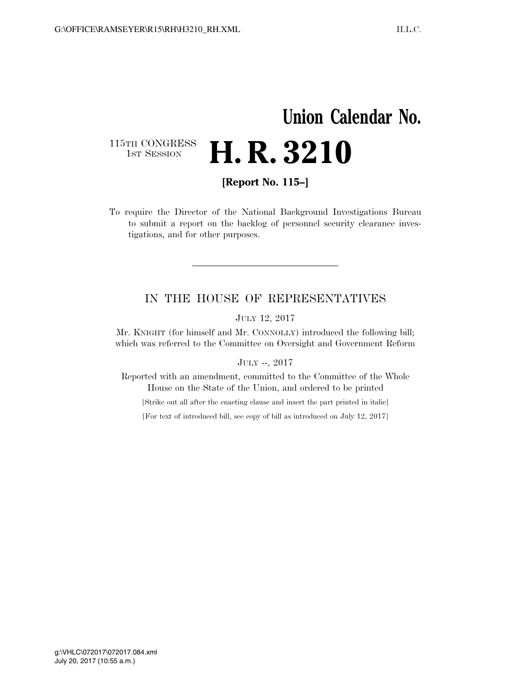## **Union Calendar No.**  115TH CONGRESS<br>1st Session **H. R. 3210**

**[Report No. 115–]** 

To require the Director of the National Background Investigations Bureau to submit a report on the backlog of personnel security clearance investigations, and for other purposes.

## IN THE HOUSE OF REPRESENTATIVES

JULY 12, 2017

Mr. KNIGHT (for himself and Mr. CONNOLLY) introduced the following bill; which was referred to the Committee on Oversight and Government Reform

JULY --, 2017

Reported with an amendment, committed to the Committee of the Whole House on the State of the Union, and ordered to be printed

[Strike out all after the enacting clause and insert the part printed in italic]

[For text of introduced bill, see copy of bill as introduced on July 12, 2017]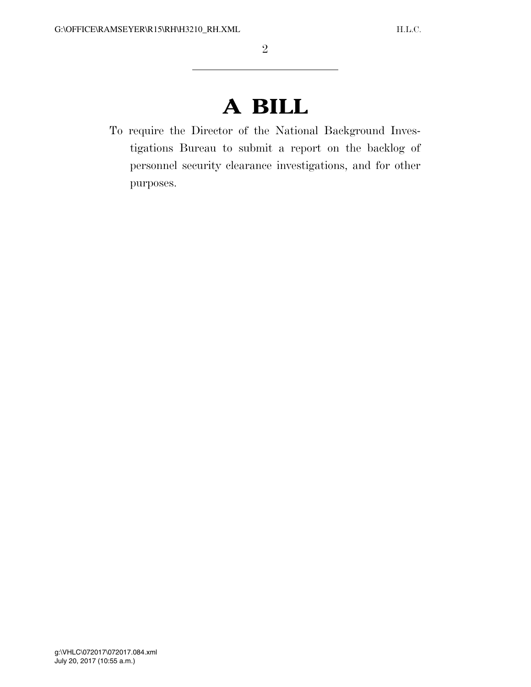## **A BILL**

To require the Director of the National Background Investigations Bureau to submit a report on the backlog of personnel security clearance investigations, and for other purposes.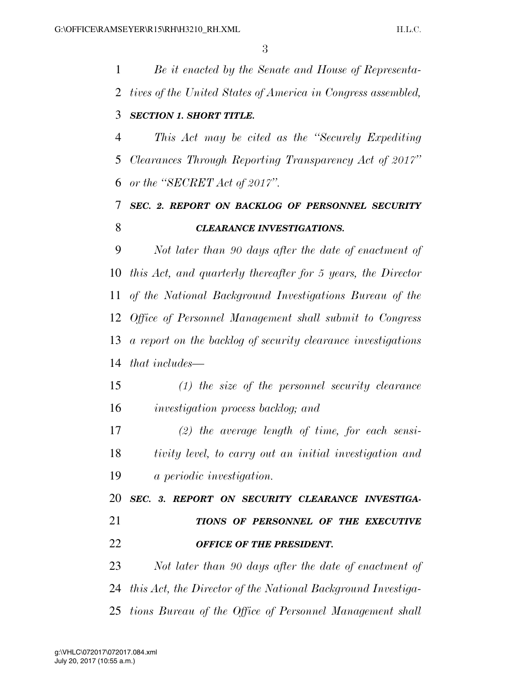*Be it enacted by the Senate and House of Representa- tives of the United States of America in Congress assembled, SECTION 1. SHORT TITLE. This Act may be cited as the ''Securely Expediting Clearances Through Reporting Transparency Act of 2017'' or the ''SECRET Act of 2017''. SEC. 2. REPORT ON BACKLOG OF PERSONNEL SECURITY*  **CLEARANCE INVESTIGATIONS.**  *Not later than 90 days after the date of enactment of this Act, and quarterly thereafter for 5 years, the Director of the National Background Investigations Bureau of the Office of Personnel Management shall submit to Congress a report on the backlog of security clearance investigations that includes— (1) the size of the personnel security clearance investigation process backlog; and (2) the average length of time, for each sensi- tivity level, to carry out an initial investigation and a periodic investigation. SEC. 3. REPORT ON SECURITY CLEARANCE INVESTIGA- TIONS OF PERSONNEL OF THE EXECUTIVE OFFICE OF THE PRESIDENT. Not later than 90 days after the date of enactment of this Act, the Director of the National Background Investiga-tions Bureau of the Office of Personnel Management shall*